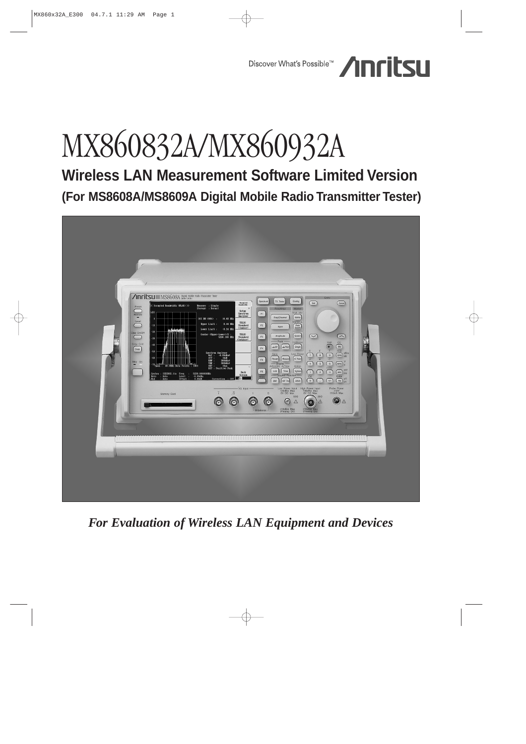

# MX860832A/MX860932A

**Wireless LAN Measurement Software Limited Version (For MS8608A/MS8609A Digital Mobile Radio Transmitter Tester)**



*For Evaluation of Wireless LAN Equipment and Devices*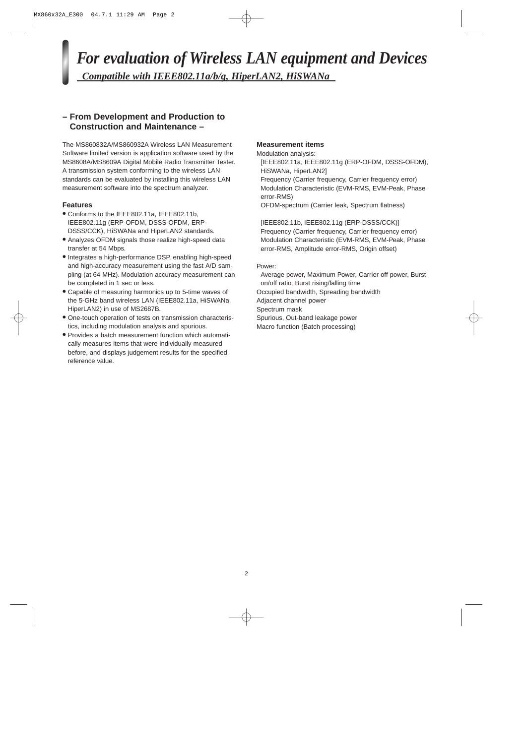*For evaluation of Wireless LAN equipment and Devices Compatible with IEEE802.11a/b/g, HiperLAN2, HiSWANa* 

# **– From Development and Production to Construction and Maintenance –**

The MS860832A/MS860932A Wireless LAN Measurement Software limited version is application software used by the MS8608A/MS8609A Digital Mobile Radio Transmitter Tester. A transmission system conforming to the wireless LAN standards can be evaluated by installing this wireless LAN measurement software into the spectrum analyzer.

# **Features**

- **•** Conforms to the IEEE802.11a, IEEE802.11b, IEEE802.11g (ERP-OFDM, DSSS-OFDM, ERP-DSSS/CCK), HiSWANa and HiperLAN2 standards.
- **•** Analyzes OFDM signals those realize high-speed data transfer at 54 Mbps.
- **•** Integrates a high-performance DSP, enabling high-speed and high-accuracy measurement using the fast A/D sampling (at 64 MHz). Modulation accuracy measurement can be completed in 1 sec or less.
- **•** Capable of measuring harmonics up to 5-time waves of the 5-GHz band wireless LAN (IEEE802.11a, HiSWANa, HiperLAN2) in use of MS2687B.
- **•** One-touch operation of tests on transmission characteristics, including modulation analysis and spurious.
- **•** Provides a batch measurement function which automatically measures items that were individually measured before, and displays judgement results for the specified reference value.

# **Measurement items**

Modulation analysis: [IEEE802.11a, IEEE802.11g (ERP-OFDM, DSSS-OFDM), HiSWANa, HiperLAN2] Frequency (Carrier frequency, Carrier frequency error) Modulation Characteristic (EVM-RMS, EVM-Peak, Phase error-RMS)

OFDM-spectrum (Carrier leak, Spectrum flatness)

[IEEE802.11b, IEEE802.11g (ERP-DSSS/CCK)] Frequency (Carrier frequency, Carrier frequency error) Modulation Characteristic (EVM-RMS, EVM-Peak, Phase error-RMS, Amplitude error-RMS, Origin offset)

### Power:

Average power, Maximum Power, Carrier off power, Burst on/off ratio, Burst rising/falling time Occupied bandwidth, Spreading bandwidth Adjacent channel power Spectrum mask Spurious, Out-band leakage power Macro function (Batch processing)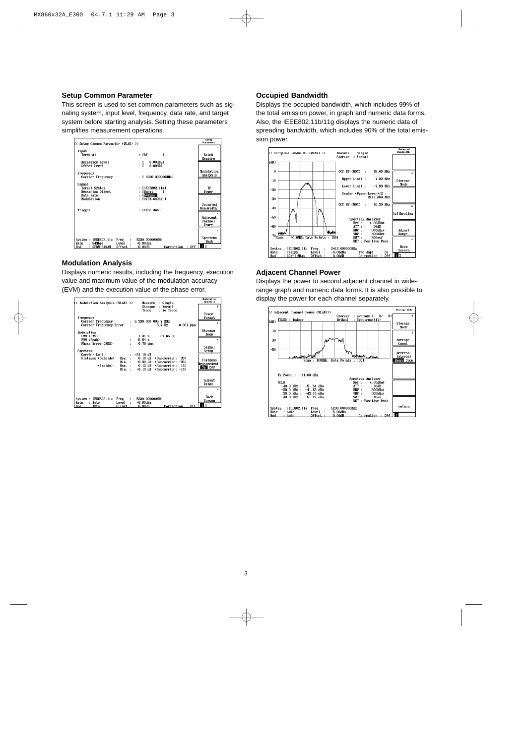# **Setup Common Parameter**

This screen is used to set common parameters such as signaling system, input level, frequency, data rate, and target system before starting analysis. Setting these parameters simplifies measurement operations.



### **Modulation Analysis**

Displays numeric results, including the frequency, execution value and maximum value of the modulation accuracy (EVM) and the execution value of the phase error.

| K< Modulation Analysis (WLAN) >> |                      | Measure<br>: Single               | <b>Nodulation</b><br><b>Analysis</b> |
|----------------------------------|----------------------|-----------------------------------|--------------------------------------|
|                                  |                      | Normal<br><b>Storage</b><br>÷     | ÷                                    |
|                                  |                      | : No Trace<br><b>Trace</b>        |                                      |
|                                  |                      |                                   | Trace                                |
| Frequency                        |                      |                                   | Format                               |
| Carrier Frequency                | ۰.                   | 5 230.000 005 7 MHz               | ×                                    |
| Carrier Frequency Error          |                      | 5.7 Hz<br>$0.001$ ppn             |                                      |
|                                  |                      |                                   |                                      |
| Modulation                       |                      |                                   | <b>Storage</b>                       |
| <b>EVM (RMS)</b>                 | :                    | $-37.65$ dB<br>1.31~%             | Mode                                 |
| EVM (Peak)                       | $\ddot{\phantom{a}}$ | 5.54 %                            | ×                                    |
| <b>Phase Error (RMS)</b>         |                      | $0.75$ deg.                       |                                      |
|                                  |                      |                                   | Signal                               |
| Spectrum                         |                      |                                   | Setup                                |
| Carrier Leak                     |                      | $-31.10$ dB                       |                                      |
| Flatness (Outside)<br>Max.       |                      | $0.18$ dB<br>(Subcarrier:<br>26)  |                                      |
| Hin.:                            |                      | $-0.22$ dB<br>(Subcarrier: -26)   | Flatness                             |
| (Inside)<br>Max.:                |                      | $0.12$ dB<br>(Subcarrier:<br>16)  | <b>Measurement</b>                   |
| Hin. :                           |                      | $-0.13$ dB<br>$(Subcarrier: -16)$ | On Off                               |
|                                  |                      |                                   |                                      |
|                                  |                      |                                   |                                      |
|                                  |                      |                                   | Adjust                               |
|                                  |                      |                                   | Range                                |
|                                  |                      |                                   |                                      |
|                                  |                      |                                   |                                      |
|                                  |                      |                                   |                                      |
| System : IEEE802.11a<br>Freq     | ÷                    | 5230.000000HHz                    | Back                                 |
| Rate<br>: Auto<br>Level          |                      | $-6.00dBn$                        | Screen                               |
| Offset<br>Mod<br>Auto            |                      | : Off<br>0.00dB<br>Correction     | 12                                   |

#### **Occupied Bandwidth**

Displays the occupied bandwidth, which includes 99% of the total emission power, in graph and numeric data forms. Also, the IEEE802.11b/11g displays the numeric data of spreading bandwidth, which includes 90% of the total emission power.



### **Adjacent Channel Power**

Displays the power to second adjacent channel in widerange graph and numeric data forms. It is also possible to display the power for each channel separately.

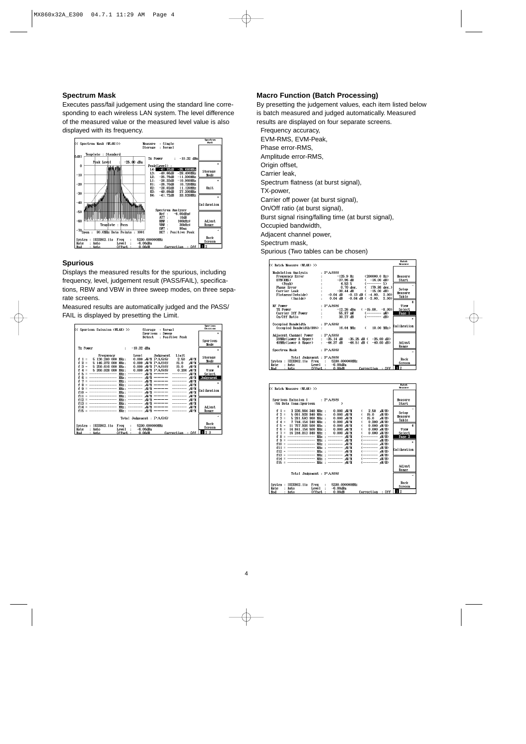#### **Spectrum Mask**

Executes pass/fail judgement using the standard line corresponding to each wireless LAN system. The level difference of the measured value or the measured level value is also displayed with its frequency.



# **Spurious**

Displays the measured results for the spurious, including frequency, level, judgement result (PASS/FAIL), specifications, RBW and VBW in three sweep modes, on three separate screens.

Measured results are automatically judged and the PASS/ FAIL is displayed by presetting the Limit.



# **Macro Function (Batch Processing)**

By presetting the judgement values, each item listed below is batch measured and judged automatically. Measured results are displayed on four separate screens.

Frequency accuracy, EVM-RMS, EVM-Peak, Phase error-RMS, Amplitude error-RMS, Origin offset, Carrier leak, Spectrum flatness (at burst signal), TX-power, Carrier off power (at burst signal), On/Off ratio (at burst signal), Burst signal rising/falling time (at burst signal), Occupied bandwidth, Adjacent channel power, Spectrum mask,

Spurious (Two tables can be chosen)

| K< Batch Measure (WLAN) >>                                                                                                                                                                                         |                                                                                                                                                                                                                                                                                    | <b>Batch</b><br><b>Heasure</b>                     |
|--------------------------------------------------------------------------------------------------------------------------------------------------------------------------------------------------------------------|------------------------------------------------------------------------------------------------------------------------------------------------------------------------------------------------------------------------------------------------------------------------------------|----------------------------------------------------|
| Modulation Analysis<br>Mutual tour and your<br>Frequency Error<br>EVM(RMS)<br>Phase Error<br>Creak<br>Carrier Leak<br>Flatness (Outside)<br>: -0.<br>1999<br>Carrier Leak<br>Phates (Outside)<br>: -0.<br>(Inside) | $:$ PASS<br>$-125.9$ Hz $(200000.0$ Hz)<br>$-37.96$ dB<br>$-16.00$ dB)<br>$\epsilon$<br>$4.53 \text{ X}$ $(- \text{---} \text{X})$<br>$0.70$ deg. $(179.86$ deg.)<br>$-30.44$ dB $(-15.00$ dB<br>: $-0.04$ dB $-0.13$ dB ( $-4.00$ , 2.00)<br>$0.04$ dB $-0.04$ dB $(-2.00, 2.00)$ | Measure<br>Start<br>Setup<br>Measure<br>Table      |
| <b>RF Power</b><br>TX Power<br>Carrier Off Power :<br>On/Off Ratio :<br>Occupied Bandwidth : PASS<br>Occupied Bandwidth(99%) :                                                                                     | $:$ PASS<br>$(-15.00, -8.00)$<br>-12.26 dBn<br>55.87 nV<br>(-------- 邮码)<br>30.27 dB<br>16.64 MHz (18.00 MHz)                                                                                                                                                                      | Ś.<br>View<br>Select<br>Page 1<br>×<br>Calibration |
| Adjacent Channel Power<br>40MHz(Lower & Upper)<br>Spectrum Mask<br>Total Judgement : PASS<br>System: IEEE802.11a Freq : 5230.000000MHz<br>Rate<br>: Auto                                                           | $:$ PASS<br>20MHz(Lower & Upper) : -35.14 dB -35.25 dB ( -25.00 dB)<br>$: -44.37$ dB $-44.51$ dB $(-40.00$ dB)<br>$:$ PASS<br>$Level: -6.00dBn$                                                                                                                                    | Adjust<br>Range<br>Back<br>Screen<br>  <b>11</b> 2 |

| K< Batch Measure (WLAN) >>                                                                                                                                                                                                                                                                       | <b>Batch</b><br>Heasure               |
|--------------------------------------------------------------------------------------------------------------------------------------------------------------------------------------------------------------------------------------------------------------------------------------------------|---------------------------------------|
| Spurious Emission 1 : PASS<br>(5G Data Comm. Spurious                                                                                                                                                                                                                                            | Measure<br>Start.<br>→                |
| 3 236.984 340 MHz :<br>,W/M)<br>$f = 1$<br>$0.000$ $W/H$<br>2.50<br>$f 2 =$<br>5 091 928 840 MHz :<br>$0.000,$ $W/M$<br>15.0<br>rW/M)<br>$3 = 5281.593860$ MHz :<br>f<br>$0.000$ $W/M$<br>15.0<br>- ボ/ボ)<br>f<br>$4 = 7744.154240$ MHz :<br>$0.000 - W/M$<br>$0.200$ $\frac{1}{2}$ $\frac{1}{2}$ | Setup<br>Measure<br>Table             |
| $f 5 = 11757.926500$ MHz :<br>$0.000,$ $\sqrt{M}$<br>$0.000 \,$ M/M)<br>$0.000$ , $\frac{W}{M}$<br>f<br>$6 = 14.841.154.500 MHz$ :<br>$0.000$ $\frac{1}{2}$ (M/M)<br>$7 =$<br>16 244.813 840 MHz :<br>$0.000$ $W/M$ )<br>0.000, W/M<br>MHz:<br>-------- 或/M<br>------- w//ii)<br>f<br>8          | \$<br>View<br><b>Select</b><br>Page 2 |
| ------------------<br>MHz : -------- wV/M<br>я<br>f<br>----------------<br>MHz : -------- ,W/M<br>(-------- 或/M)<br>f10<br>______________<br>MHz : -------- wV/M<br><b>f11</b><br>--------------- 册z : -------- rW/M<br>(-------- 或/鱼)<br>f12                                                    | ×<br>Calibration                      |
| MHz: -------- wW/M<br>(-------- 或/M)<br>$f13 =$<br>ⅢHz: -------- wW/M<br>-----------------<br>(−−−−−−−−−− µW/M)<br>$f14 =$<br>MHz: -------- wW/M<br>$f15 =$ -----------------                                                                                                                    | Adjust                                |
| Total Judgement : PASS                                                                                                                                                                                                                                                                           | Range                                 |
| 5230.000000MHz<br>System : IEEE802.11a<br>Freq<br>$\mathbf{r}$<br>$-6.00dBn$<br>Rate<br>: Auto<br>Leve l<br>Offset :<br>0.00dB<br>Correction : Off<br>Mod<br>: Auto                                                                                                                              | Back<br>Screen<br>2                   |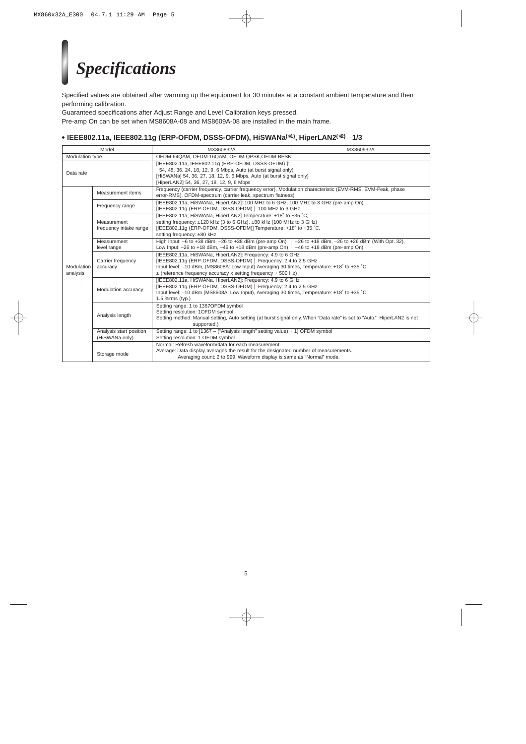# *Specifications*

Specified values are obtained after warming up the equipment for 30 minutes at a constant ambient temperature and then performing calibration.

Guaranteed specifications after Adjust Range and Level Calibration keys pressed.

Pre-amp On can be set when MS8608A-08 and MS8609A-08 are installed in the main frame.

# **• IEEE802.11a, IEEE802.11g (ERP-OFDM, DSSS-OFDM), HiSWANa(**∗**1), HiperLAN2(**∗**2) 1/3**

| Model                  |                                           | MX860832A                                                                                                                                                                                                                                                                                        | MX860932A                                                                                 |  |
|------------------------|-------------------------------------------|--------------------------------------------------------------------------------------------------------------------------------------------------------------------------------------------------------------------------------------------------------------------------------------------------|-------------------------------------------------------------------------------------------|--|
| Modulation type        |                                           | OFDM-64QAM, OFDM-16QAM, OFDM-QPSK, OFDM-BPSK                                                                                                                                                                                                                                                     |                                                                                           |  |
| Data rate              |                                           | [IEEE802.11a, IEEE802.11g (ERP-OFDM, DSSS-OFDM) ]:<br>54, 48, 36, 24, 18, 12, 9, 6 Mbps, Auto (at burst signal only)<br>[HiSWANa] 54, 36, 27, 18, 12, 9, 6 Mbps, Auto (at burst signal only)<br>[HiperLAN2] 54, 36, 27, 18, 12, 9, 6 Mbps                                                        |                                                                                           |  |
|                        | Measurement items                         | Frequency (carrier frequency, carrier frequency error), Modulation characteristic (EVM-RMS, EVM-Peak, phase<br>error-RMS), OFDM-spectrum (carrier leak, spectrum flatness)                                                                                                                       |                                                                                           |  |
|                        | Frequency range                           | [IEEE802.11a, HiSWANa, HiperLAN2]: 100 MHz to 6 GHz, 100 MHz to 3 GHz (pre-amp On)<br>[IEEE802.11g (ERP-OFDM, DSSS-OFDM)]: 100 MHz to 3 GHz                                                                                                                                                      |                                                                                           |  |
|                        | Measurement<br>frequency intake range     | [IEEE802.11a, HiSWANa, HiperLAN2] Temperature: +18° to +35 °C,<br>setting frequency: ±120 kHz (3 to 6 GHz), ±80 kHz (100 MHz to 3 GHz)<br>[IEEE802.11g (ERP-OFDM, DSSS-OFDM)] Temperature: +18° to +35 °C,<br>setting frequency: ±80 kHz                                                         |                                                                                           |  |
|                        | Measurement<br>level range                | High Input: $-6$ to $+38$ dBm, $-26$ to $+38$ dBm (pre-amp On)<br>Low Input: $-26$ to $+18$ dBm, $-46$ to $+18$ dBm (pre-amp On)                                                                                                                                                                 | $-26$ to $+18$ dBm, $-26$ to $+26$ dBm (With Opt. 32),<br>$-46$ to $+18$ dBm (pre-amp On) |  |
| Modulation<br>analysis | Carrier frequency<br>accuracy             | [IEEE802.11a, HiSWANa, HiperLAN2]: Frequency: 4.9 to 6 GHz<br>[IEEE802.11g (ERP-OFDM, DSSS-OFDM)]: Frequency: 2.4 to 2.5 GHz<br>Input level: -10 dBm, (MS8608A: Low Input) Averaging 30 times, Temperature: +18° to +35 °C,<br>$\pm$ (reference frequency accuracy x setting frequency + 500 Hz) |                                                                                           |  |
|                        | Modulation accuracy                       | [IEEE802.11a, HiSWANa, HiperLAN2]: Frequency: 4.9 to 6 GHz<br>[IEEE802.11g (ERP-OFDM, DSSS-OFDM)]: Frequency: 2.4 to 2.5 GHz<br>Input level: -10 dBm (MS8608A: Low Input), Averaging 30 times, Temperature: +18° to +35 °C<br>1.5 %rms (typ.)                                                    |                                                                                           |  |
|                        | Analysis length                           | Setting range: 1 to 1367OFDM symbol<br>Setting resolution: 1OFDM symbol<br>Setting method: Manual setting, Auto setting (at burst signal only. When "Data rate" is set to "Auto." HiperLAN2 is not<br>supported.)                                                                                |                                                                                           |  |
|                        | Analysis start position<br>(HiSWANa only) | Setting range: 1 to [1367 - ("Analysis length" setting value) + 1] OFDM symbol<br>Setting resolution: 1 OFDM symbol                                                                                                                                                                              |                                                                                           |  |
|                        | Storage mode                              | Normal: Refresh waveform/data for each measurement.<br>Average: Data display averages the result for the designated number of measurements.<br>Averaging count: 2 to 999. Waveform display is same as "Normal" mode.                                                                             |                                                                                           |  |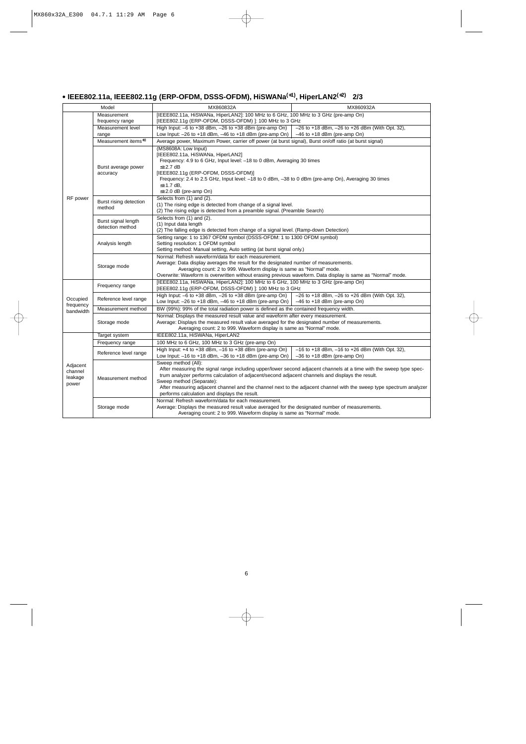# **• IEEE802.11a, IEEE802.11g (ERP-OFDM, DSSS-OFDM), HiSWANa(**∗**1), HiperLAN2(**∗**2) 2/3**

|                                         | Model                                   | MX860832A                                                                                                                                                                                                                                                                                                                                                                                                                                          | MX860932A                                                                                                                                                                                                                                                                     |  |
|-----------------------------------------|-----------------------------------------|----------------------------------------------------------------------------------------------------------------------------------------------------------------------------------------------------------------------------------------------------------------------------------------------------------------------------------------------------------------------------------------------------------------------------------------------------|-------------------------------------------------------------------------------------------------------------------------------------------------------------------------------------------------------------------------------------------------------------------------------|--|
|                                         | Measurement<br>frequency range          | [IEEE802.11a, HiSWANa, HiperLAN2]: 100 MHz to 6 GHz, 100 MHz to 3 GHz (pre-amp On)<br>[IEEE802.11g (ERP-OFDM, DSSS-OFDM) ]: 100 MHz to 3 GHz                                                                                                                                                                                                                                                                                                       |                                                                                                                                                                                                                                                                               |  |
|                                         | Measurement level<br>range              | High Input: $-6$ to $+38$ dBm, $-26$ to $+38$ dBm (pre-amp On)<br>Low Input: $-26$ to $+18$ dBm, $-46$ to $+18$ dBm (pre-amp On)                                                                                                                                                                                                                                                                                                                   | $-26$ to $+18$ dBm, $-26$ to $+26$ dBm (With Opt. 32),<br>$-46$ to $+18$ dBm (pre-amp On)                                                                                                                                                                                     |  |
|                                         | Measurement items*3                     | Average power, Maximum Power, carrier off power (at burst signal), Burst on/off ratio (at burst signal)                                                                                                                                                                                                                                                                                                                                            |                                                                                                                                                                                                                                                                               |  |
| RF power                                | Burst average power<br>accuracy         | (MS8608A: Low Input)<br>[IEEE802.11a, HiSWANa, HiperLAN2]<br>Frequency: 4.9 to 6 GHz, Input level: -18 to 0 dBm, Averaging 30 times<br>$\leq \pm 2.7$ dB<br>[IEEE802.11g (ERP-OFDM, DSSS-OFDM)]<br>Frequency: 2.4 to 2.5 GHz, Input level: -18 to 0 dBm, -38 to 0 dBm (pre-amp On), Averaging 30 times<br>$\leq \pm 1.7$ dB,<br>$\leq \pm 2.0$ dB (pre-amp On)                                                                                     |                                                                                                                                                                                                                                                                               |  |
|                                         | Burst rising detection<br>method        | Selects from (1) and (2).<br>(1) The rising edge is detected from change of a signal level.<br>(2) The rising edge is detected from a preamble signal. (Preamble Search)                                                                                                                                                                                                                                                                           |                                                                                                                                                                                                                                                                               |  |
|                                         | Burst signal length<br>detection method | Selects from (1) and (2).<br>(1) Input data length<br>(2) The falling edge is detected from change of a signal level. (Ramp-down Detection)                                                                                                                                                                                                                                                                                                        |                                                                                                                                                                                                                                                                               |  |
|                                         | Analysis length                         | Setting range: 1 to 1367 OFDM symbol (DSSS-OFDM: 1 to 1300 OFDM symbol)<br>Setting resolution: 1 OFDM symbol<br>Setting method: Manual setting, Auto setting (at burst signal only.)                                                                                                                                                                                                                                                               |                                                                                                                                                                                                                                                                               |  |
|                                         | Storage mode                            | Normal: Refresh waveform/data for each measurement.                                                                                                                                                                                                                                                                                                                                                                                                | Average: Data display averages the result for the designated number of measurements.<br>Averaging count: 2 to 999. Waveform display is same as "Normal" mode.<br>Overwrite: Waveform is overwritten without erasing previous waveform. Data display is same as "Normal" mode. |  |
|                                         | Frequency range                         | [IEEE802.11a, HiSWANa, HiperLAN2]: 100 MHz to 6 GHz, 100 MHz to 3 GHz (pre-amp On)<br>[IEEE802.11g (ERP-OFDM, DSSS-OFDM) ]: 100 MHz to 3 GHz                                                                                                                                                                                                                                                                                                       |                                                                                                                                                                                                                                                                               |  |
| Occupied<br>frequency                   | Reference level range                   | High Input: $-6$ to $+38$ dBm, $-26$ to $+38$ dBm (pre-amp On)<br>$-26$ to $+18$ dBm, $-26$ to $+26$ dBm (With Opt. 32),<br>Low Input: $-26$ to +18 dBm, $-46$ to +18 dBm (pre-amp On) $-46$ to +18 dBm (pre-amp On)                                                                                                                                                                                                                               |                                                                                                                                                                                                                                                                               |  |
| bandwidth                               | Measurement method                      | BW (99%): 99% of the total radiation power is defined as the contained frequency width.                                                                                                                                                                                                                                                                                                                                                            |                                                                                                                                                                                                                                                                               |  |
|                                         | Storage mode                            | Normal: Displays the measured result value and waveform after every measurement.<br>Average: Displays the measured result value averaged for the designated number of measurements.<br>Averaging count: 2 to 999. Waveform display is same as "Normal" mode.                                                                                                                                                                                       |                                                                                                                                                                                                                                                                               |  |
|                                         | Target system                           | IEEE802.11a, HiSWANa, HiperLAN2                                                                                                                                                                                                                                                                                                                                                                                                                    |                                                                                                                                                                                                                                                                               |  |
|                                         | Frequency range                         | 100 MHz to 6 GHz, 100 MHz to 3 GHz (pre-amp On)                                                                                                                                                                                                                                                                                                                                                                                                    |                                                                                                                                                                                                                                                                               |  |
|                                         | Reference level range                   | High Input: $+4$ to $+38$ dBm, $-16$ to $+38$ dBm (pre-amp On)<br>Low Input: $-16$ to $+18$ dBm, $-36$ to $+18$ dBm (pre-amp On)                                                                                                                                                                                                                                                                                                                   | $-16$ to $+18$ dBm, $-16$ to $+26$ dBm (With Opt. 32),<br>$-36$ to $+18$ dBm (pre-amp On)                                                                                                                                                                                     |  |
| Adjacent<br>channel<br>leakage<br>power | Measurement method                      | Sweep method (All):<br>After measuring the signal range including upper/lower second adjacent channels at a time with the sweep type spec-<br>trum analyzer performs calculation of adjacent/second adjacent channels and displays the result.<br>Sweep method (Separate):<br>After measuring adjacent channel and the channel next to the adjacent channel with the sweep type spectrum analyzer<br>performs calculation and displays the result. |                                                                                                                                                                                                                                                                               |  |
|                                         | Storage mode                            | Normal: Refresh waveform/data for each measurement.<br>Average: Displays the measured result value averaged for the designated number of measurements.<br>Averaging count: 2 to 999. Waveform display is same as "Normal" mode.                                                                                                                                                                                                                    |                                                                                                                                                                                                                                                                               |  |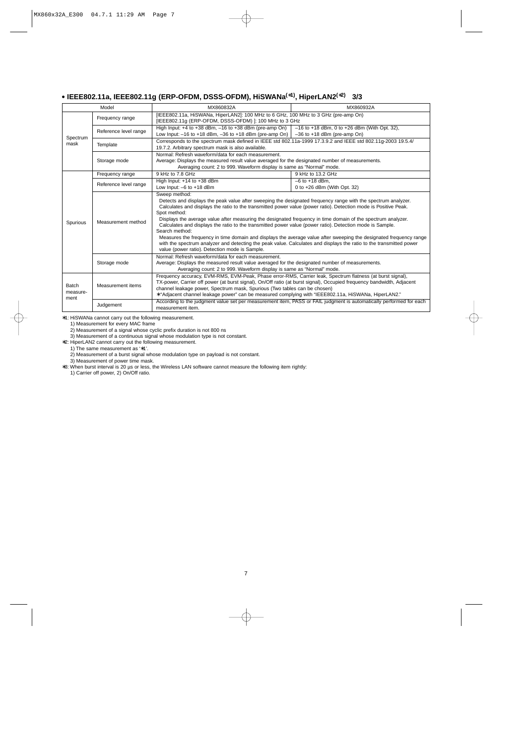# **• IEEE802.11a, IEEE802.11g (ERP-OFDM, DSSS-OFDM), HiSWANa(**∗**1), HiperLAN2(**∗**2) 3/3**

|                                  | Model                 | MX860832A                                                                                                                                                                                                                                                                                                                                                                                                                                                                                                                                                                                                                                                                                                                                                                                                        | MX860932A                                                                                                           |  |  |
|----------------------------------|-----------------------|------------------------------------------------------------------------------------------------------------------------------------------------------------------------------------------------------------------------------------------------------------------------------------------------------------------------------------------------------------------------------------------------------------------------------------------------------------------------------------------------------------------------------------------------------------------------------------------------------------------------------------------------------------------------------------------------------------------------------------------------------------------------------------------------------------------|---------------------------------------------------------------------------------------------------------------------|--|--|
|                                  | Frequency range       | [IEEE802.11a, HiSWANa, HiperLAN2]: 100 MHz to 6 GHz, 100 MHz to 3 GHz (pre-amp On)<br>[IEEE802.11g (ERP-OFDM, DSSS-OFDM)]: 100 MHz to 3 GHz                                                                                                                                                                                                                                                                                                                                                                                                                                                                                                                                                                                                                                                                      |                                                                                                                     |  |  |
|                                  | Reference level range | High Input: $+4$ to $+38$ dBm, $-16$ to $+38$ dBm (pre-amp On)<br>Low Input: $-16$ to $+18$ dBm, $-36$ to $+18$ dBm (pre-amp On)                                                                                                                                                                                                                                                                                                                                                                                                                                                                                                                                                                                                                                                                                 | $-16$ to +18 dBm, 0 to +26 dBm (With Opt. 32),<br>$-36$ to $+18$ dBm (pre-amp On)                                   |  |  |
| Spectrum<br>mask                 | Template              | 19.7.2. Arbitrary spectrum mask is also available.                                                                                                                                                                                                                                                                                                                                                                                                                                                                                                                                                                                                                                                                                                                                                               | Corresponds to the spectrum mask defined in IEEE std 802.11a-1999 17.3.9.2 and IEEE std 802.11q-2003 19.5.4/        |  |  |
|                                  | Storage mode          | Normal: Refresh waveform/data for each measurement.<br>Average: Displays the measured result value averaged for the designated number of measurements.<br>Averaging count: 2 to 999. Waveform display is same as "Normal" mode.                                                                                                                                                                                                                                                                                                                                                                                                                                                                                                                                                                                  |                                                                                                                     |  |  |
|                                  | Frequency range       | 9 kHz to 7.8 GHz                                                                                                                                                                                                                                                                                                                                                                                                                                                                                                                                                                                                                                                                                                                                                                                                 | 9 kHz to 13.2 GHz                                                                                                   |  |  |
|                                  | Reference level range | High Input: +14 to +38 dBm<br>Low Input: $-6$ to $+18$ dBm                                                                                                                                                                                                                                                                                                                                                                                                                                                                                                                                                                                                                                                                                                                                                       | $-6$ to $+18$ dBm,<br>0 to $+26$ dBm (With Opt. 32)                                                                 |  |  |
| Spurious                         | Measurement method    | Sweep method:<br>Detects and displays the peak value after sweeping the designated frequency range with the spectrum analyzer.<br>Calculates and displays the ratio to the transmitted power value (power ratio). Detection mode is Positive Peak.<br>Spot method:<br>Displays the average value after measuring the designated frequency in time domain of the spectrum analyzer.<br>Calculates and displays the ratio to the transmitted power value (power ratio). Detection mode is Sample.<br>Search method:<br>Measures the frequency in time domain and displays the average value after sweeping the designated frequency range<br>with the spectrum analyzer and detecting the peak value. Calculates and displays the ratio to the transmitted power<br>value (power ratio). Detection mode is Sample. |                                                                                                                     |  |  |
|                                  | Storage mode          | Normal: Refresh waveform/data for each measurement.<br>Average: Displays the measured result value averaged for the designated number of measurements.<br>Averaging count: 2 to 999. Waveform display is same as "Normal" mode.                                                                                                                                                                                                                                                                                                                                                                                                                                                                                                                                                                                  |                                                                                                                     |  |  |
| <b>Batch</b><br>measure-<br>ment | Measurement items     | Frequency accuracy, EVM-RMS, EVM-Peak, Phase error-RMS, Carrier leak, Spectrum flatness (at burst signal),<br>TX-power, Carrier off power (at burst signal), On/Off ratio (at burst signal), Occupied frequency bandwidth, Adjacent<br>channel leakage power, Spectrum mask, Spurious (Two tables can be chosen)<br>* "Adjacent channel leakage power" can be measured complying with "IEEE802.11a, HiSWANa, HiperLAN2."                                                                                                                                                                                                                                                                                                                                                                                         |                                                                                                                     |  |  |
|                                  | Judgement             | measurement item.                                                                                                                                                                                                                                                                                                                                                                                                                                                                                                                                                                                                                                                                                                                                                                                                | According to the judgment value set per measurement item, PASS or FAIL judgment is automatically performed for each |  |  |

∗1: HiSWANa cannot carry out the following measurement.

1) Measurement for every MAC frame

2) Measurement of a signal whose cyclic prefix duration is not 800 ns

3) Measurement of a continuous signal whose modulation type is not constant.

∗2: HiperLAN2 cannot carry out the following measurement.

1) The same measurement as '∗1'.

2) Measurement of a burst signal whose modulation type on payload is not constant.

3) Measurement of power time mask.

∗3: When burst interval is 20 µs or less, the Wireless LAN software cannot measure the following item rightly:

1) Carrier off power, 2) On/Off ratio.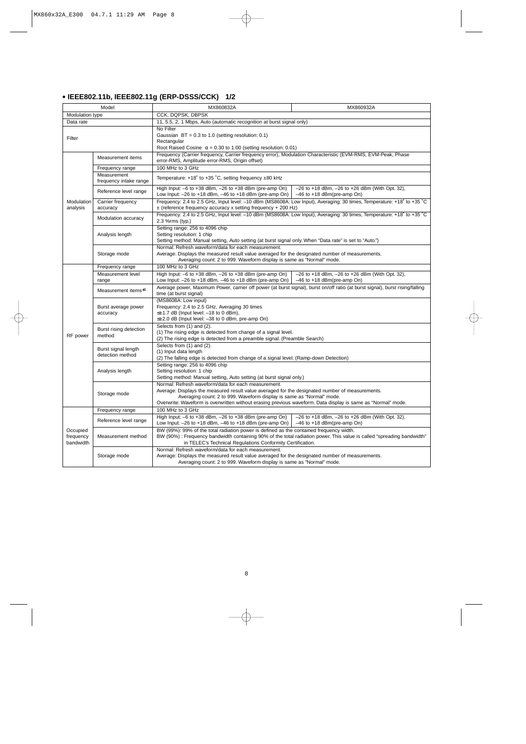# **• IEEE802.11b, IEEE802.11g (ERP-DSSS/CCK) 1/2**

| Model                              |                                         | MX860832A                                                                                                                                                                                                                                                                                                                                       | MX860932A                                                                                                              |  |
|------------------------------------|-----------------------------------------|-------------------------------------------------------------------------------------------------------------------------------------------------------------------------------------------------------------------------------------------------------------------------------------------------------------------------------------------------|------------------------------------------------------------------------------------------------------------------------|--|
| Modulation type                    |                                         | CCK, DQPSK, DBPSK                                                                                                                                                                                                                                                                                                                               |                                                                                                                        |  |
| Data rate                          |                                         | 11, 5.5, 2, 1 Mbps, Auto (automatic recognition at burst signal only)                                                                                                                                                                                                                                                                           |                                                                                                                        |  |
| Filter                             |                                         | No Filter<br>Gaussian $BT = 0.3$ to 1.0 (setting resolution: 0.1)<br>Rectangular<br>Root Raised Cosine $\alpha = 0.30$ to 1.00 (setting resolution: 0.01)                                                                                                                                                                                       |                                                                                                                        |  |
|                                    | Measurement items                       | Frequency (Carrier frequency, Carrier frequency error), Modulation Characteristic (EVM-RMS, EVM-Peak, Phase<br>error-RMS, Amplitude error-RMS, Origin offset)                                                                                                                                                                                   |                                                                                                                        |  |
|                                    | Frequency range                         | 100 MHz to 3 GHz                                                                                                                                                                                                                                                                                                                                |                                                                                                                        |  |
|                                    | Measurement<br>frequency intake range   | Temperature: +18° to +35 °C, setting frequency ±80 kHz                                                                                                                                                                                                                                                                                          |                                                                                                                        |  |
|                                    | Reference level range                   | High Input: $-6$ to $+38$ dBm, $-26$ to $+38$ dBm (pre-amp On)<br>Low Input: $-26$ to $+18$ dBm, $-46$ to $+18$ dBm (pre-amp On)                                                                                                                                                                                                                | $-26$ to $+18$ dBm, $-26$ to $+26$ dBm (With Opt. 32),<br>$-46$ to $+18$ dBm(pre-amp On)                               |  |
| Modulation<br>analysis             | Carrier frequency<br>accuracy           | $\pm$ (reference frequency accuracy x setting frequency + 200 Hz)                                                                                                                                                                                                                                                                               | Frequency: 2.4 to 2.5 GHz, Input level: -10 dBm (MS8608A: Low Input), Averaging: 30 times, Temperature: +18° to +35 °C |  |
|                                    | Modulation accuracy                     | Frequency: 2.4 to 2.5 GHz, Input level: -10 dBm (MS8608A: Low Input), Averaging: 30 times, Temperature: +18° to +35 °C<br>2.3 %rms (typ.)                                                                                                                                                                                                       |                                                                                                                        |  |
|                                    | Analysis length                         | Setting range: 256 to 4096 chip<br>Setting resolution: 1 chip<br>Setting method: Manual setting, Auto setting (at burst signal only. When "Data rate" is set to "Auto.")                                                                                                                                                                        |                                                                                                                        |  |
|                                    | Storage mode                            | Normal: Refresh waveform/data for each measurement.<br>Average: Displays the measured result value averaged for the designated number of measurements.<br>Averaging count: 2 to 999. Waveform display is same as "Normal" mode.                                                                                                                 |                                                                                                                        |  |
|                                    | Frequency range                         | 100 MHz to 3 GHz                                                                                                                                                                                                                                                                                                                                |                                                                                                                        |  |
|                                    | Measurement level<br>range              | High Input: $-6$ to $+38$ dBm, $-26$ to $+38$ dBm (pre-amp On)<br>Low Input: $-26$ to $+18$ dBm, $-46$ to $+18$ dBm (pre-amp On)                                                                                                                                                                                                                | $-26$ to $+18$ dBm, $-26$ to $+26$ dBm (With Opt. 32),<br>$-46$ to $+18$ dBm(pre-amp On)                               |  |
|                                    | Measurement items*1                     | Average power, Maximum Power, carrier off power (at burst signal), burst on/off ratio (at burst signal), burst rising/falling<br>time (at burst signal)                                                                                                                                                                                         |                                                                                                                        |  |
|                                    | Burst average power<br>accuracy         | (MS8608A: Low input)<br>Frequency: 2.4 to 2.5 GHz, Averaging 30 times<br>$\leq \pm 1.7$ dB (Input level: -18 to 0 dBm),<br>≤±2.0 dB (Input level: -38 to 0 dBm, pre-amp On)                                                                                                                                                                     |                                                                                                                        |  |
| RF power                           | Burst rising detection<br>method        | Selects from (1) and (2).<br>(1) The rising edge is detected from change of a signal level.<br>(2) The rising edge is detected from a preamble signal. (Preamble Search)                                                                                                                                                                        |                                                                                                                        |  |
|                                    | Burst signal length<br>detection method | Selects from (1) and (2).<br>(1) Input data length<br>(2) The falling edge is detected from change of a signal level. (Ramp-down Detection)                                                                                                                                                                                                     |                                                                                                                        |  |
|                                    | Analysis length                         | Setting range: 256 to 4096 chip<br>Setting resolution: 1 chip<br>Setting method: Manual setting, Auto setting (at burst signal only.)                                                                                                                                                                                                           |                                                                                                                        |  |
|                                    | Storage mode                            | Normal: Refresh waveform/data for each measurement.<br>Average: Displays the measured result value averaged for the designated number of measurements.<br>Averaging count: 2 to 999. Waveform display is same as "Normal" mode.<br>Overwrite: Waveform is overwritten without erasing previous waveform. Data display is same as "Normal" mode. |                                                                                                                        |  |
|                                    | Frequency range                         | 100 MHz to 3 GHz                                                                                                                                                                                                                                                                                                                                |                                                                                                                        |  |
|                                    | Reference level range                   | High Input: $-6$ to $+38$ dBm, $-26$ to $+38$ dBm (pre-amp On)<br>Low Input: $-26$ to $+18$ dBm, $-46$ to $+18$ dBm (pre-amp On)                                                                                                                                                                                                                | $-26$ to $+18$ dBm, $-26$ to $+26$ dBm (With Opt. 32),<br>$-46$ to $+18$ dBm(pre-amp On)                               |  |
| Occupied<br>frequency<br>bandwidth | Measurement method                      | BW (99%): 99% of the total radiation power is defined as the contained frequency width.<br>in TELEC's Technical Regulations Conformity Certification.                                                                                                                                                                                           | BW (90%) : Frequency bandwidth containing 90% of the total radiation power. This value is called "spreading bandwidth" |  |
|                                    | Storage mode                            | Normal: Refresh waveform/data for each measurement.<br>Average: Displays the measured result value averaged for the designated number of measurements.<br>Averaging count: 2 to 999. Waveform display is same as "Normal" mode.                                                                                                                 |                                                                                                                        |  |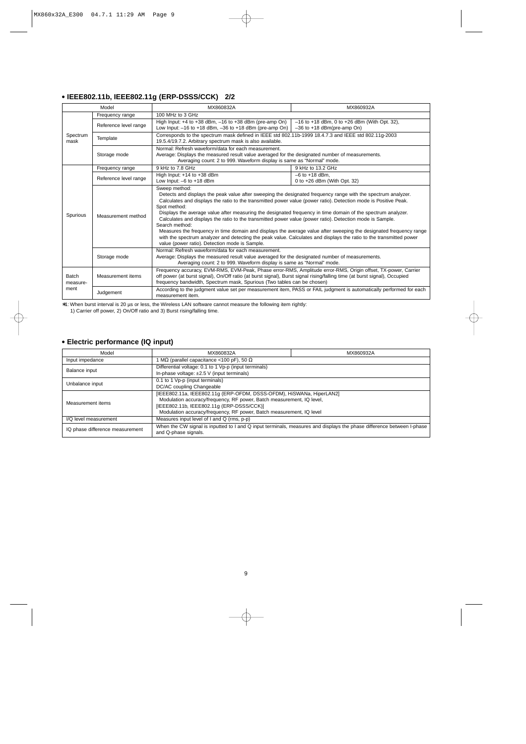# **• IEEE802.11b, IEEE802.11g (ERP-DSSS/CCK) 2/2**

| Model             |                       | MX860832A                                                                                                                                                                                                                                                                                                                                                                                                                                                                                                                                                                                                                                                                                                                                                                                                        | MX860932A                                                                                                           |  |
|-------------------|-----------------------|------------------------------------------------------------------------------------------------------------------------------------------------------------------------------------------------------------------------------------------------------------------------------------------------------------------------------------------------------------------------------------------------------------------------------------------------------------------------------------------------------------------------------------------------------------------------------------------------------------------------------------------------------------------------------------------------------------------------------------------------------------------------------------------------------------------|---------------------------------------------------------------------------------------------------------------------|--|
|                   | Frequency range       | 100 MHz to 3 GHz                                                                                                                                                                                                                                                                                                                                                                                                                                                                                                                                                                                                                                                                                                                                                                                                 |                                                                                                                     |  |
| Spectrum<br>mask  | Reference level range | High Input: +4 to +38 dBm, -16 to +38 dBm (pre-amp On)<br>Low Input: $-16$ to $+18$ dBm, $-36$ to $+18$ dBm (pre-amp On)                                                                                                                                                                                                                                                                                                                                                                                                                                                                                                                                                                                                                                                                                         | $-16$ to +18 dBm, 0 to +26 dBm (With Opt. 32),<br>$-36$ to $+18$ dBm(pre-amp On)                                    |  |
|                   | Template              | Corresponds to the spectrum mask defined in IEEE std 802.11b-1999 18.4.7.3 and IEEE std 802.11q-2003<br>19.5.4/19.7.2. Arbitrary spectrum mask is also available.                                                                                                                                                                                                                                                                                                                                                                                                                                                                                                                                                                                                                                                |                                                                                                                     |  |
|                   | Storage mode          | Normal: Refresh waveform/data for each measurement.<br>Average: Displays the measured result value averaged for the designated number of measurements.<br>Averaging count: 2 to 999. Waveform display is same as "Normal" mode.                                                                                                                                                                                                                                                                                                                                                                                                                                                                                                                                                                                  |                                                                                                                     |  |
|                   | Frequency range       | 9 kHz to 7.8 GHz                                                                                                                                                                                                                                                                                                                                                                                                                                                                                                                                                                                                                                                                                                                                                                                                 | 9 kHz to 13.2 GHz                                                                                                   |  |
|                   | Reference level range | High Input: +14 to +38 dBm<br>Low Input: $-6$ to $+18$ dBm                                                                                                                                                                                                                                                                                                                                                                                                                                                                                                                                                                                                                                                                                                                                                       | $-6$ to $+18$ dBm,<br>0 to $+26$ dBm (With Opt. 32)                                                                 |  |
| Spurious          | Measurement method    | Sweep method:<br>Detects and displays the peak value after sweeping the designated frequency range with the spectrum analyzer.<br>Calculates and displays the ratio to the transmitted power value (power ratio). Detection mode is Positive Peak.<br>Spot method:<br>Displays the average value after measuring the designated frequency in time domain of the spectrum analyzer.<br>Calculates and displays the ratio to the transmitted power value (power ratio). Detection mode is Sample.<br>Search method:<br>Measures the frequency in time domain and displays the average value after sweeping the designated frequency range<br>with the spectrum analyzer and detecting the peak value. Calculates and displays the ratio to the transmitted power<br>value (power ratio). Detection mode is Sample. |                                                                                                                     |  |
|                   | Storage mode          | Normal: Refresh waveform/data for each measurement.<br>Average: Displays the measured result value averaged for the designated number of measurements.<br>Averaging count: 2 to 999. Waveform display is same as "Normal" mode.                                                                                                                                                                                                                                                                                                                                                                                                                                                                                                                                                                                  |                                                                                                                     |  |
| Batch<br>measure- | Measurement items     | Frequency accuracy, EVM-RMS, EVM-Peak, Phase error-RMS, Amplitude error-RMS, Origin offset, TX-power, Carrier<br>off power (at burst signal), On/Off ratio (at burst signal), Burst signal rising/falling time (at burst signal), Occupied<br>frequency bandwidth, Spectrum mask, Spurious (Two tables can be chosen)                                                                                                                                                                                                                                                                                                                                                                                                                                                                                            |                                                                                                                     |  |
| ment              | Judgement             | measurement item.                                                                                                                                                                                                                                                                                                                                                                                                                                                                                                                                                                                                                                                                                                                                                                                                | According to the judgment value set per measurement item, PASS or FAIL judgment is automatically performed for each |  |

∗1: When burst interval is 20 µs or less, the Wireless LAN software cannot measure the following item rightly:

1) Carrier off power, 2) On/Off ratio and 3) Burst rising/falling time.

# **• Electric performance (IQ input)**

| Model                           | MX860832A                                                                                                                                     | MX860932A |  |
|---------------------------------|-----------------------------------------------------------------------------------------------------------------------------------------------|-----------|--|
| Input impedance                 | MΩ (parallel capacitance <100 pF), 50 Ω                                                                                                       |           |  |
| Balance input                   | Differential voltage: 0.1 to 1 Vp-p (input terminals)                                                                                         |           |  |
|                                 | In-phase voltage: ±2.5 V (input terminals)                                                                                                    |           |  |
| Unbalance input                 | 0.1 to 1 Vp-p (input terminals)                                                                                                               |           |  |
|                                 | DC/AC coupling Changeable                                                                                                                     |           |  |
|                                 | [IEEE802.11a, IEEE802.11g (ERP-OFDM, DSSS-OFDM), HiSWANa, HiperLAN2]                                                                          |           |  |
| Measurement items               | Modulation accuracy/frequency, RF power, Batch measurement, IQ level,                                                                         |           |  |
|                                 | [IEEE802.11b, IEEE802.11g (ERP-DSSS/CCK)]                                                                                                     |           |  |
|                                 | Modulation accuracy/frequency, RF power, Batch measurement, IQ level                                                                          |           |  |
| I/Q level measurement           | Measures input level of I and Q (rms, p-p)                                                                                                    |           |  |
| IQ phase difference measurement | When the CW signal is inputted to I and Q input terminals, measures and displays the phase difference between I-phase<br>and Q-phase signals. |           |  |